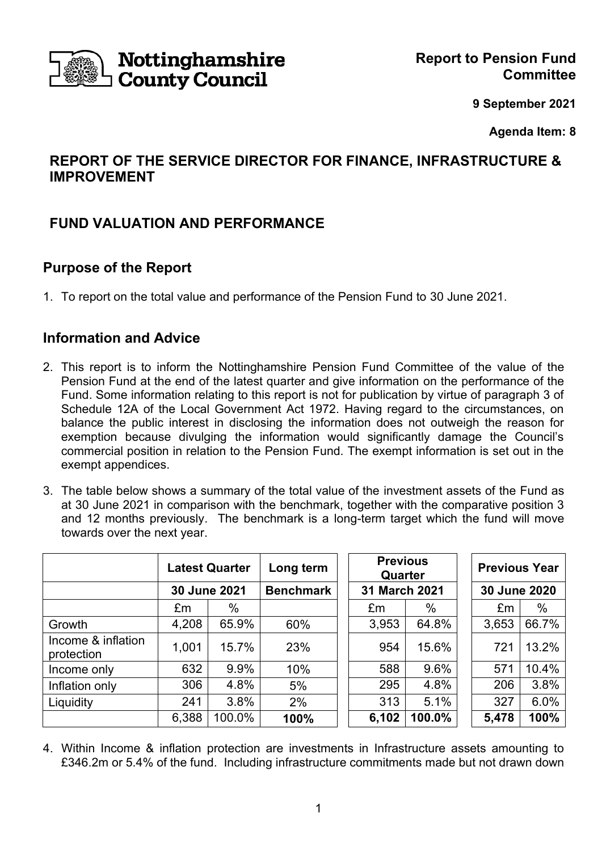

# **Nottinghamshire<br>County Council**

**9 September 2021**

**Agenda Item: 8**

# **REPORT OF THE SERVICE DIRECTOR FOR FINANCE, INFRASTRUCTURE & IMPROVEMENT**

# **FUND VALUATION AND PERFORMANCE**

# **Purpose of the Report**

1. To report on the total value and performance of the Pension Fund to 30 June 2021.

# **Information and Advice**

- 2. This report is to inform the Nottinghamshire Pension Fund Committee of the value of the Pension Fund at the end of the latest quarter and give information on the performance of the Fund. Some information relating to this report is not for publication by virtue of paragraph 3 of Schedule 12A of the Local Government Act 1972. Having regard to the circumstances, on balance the public interest in disclosing the information does not outweigh the reason for exemption because divulging the information would significantly damage the Council's commercial position in relation to the Pension Fund. The exempt information is set out in the exempt appendices.
- 3. The table below shows a summary of the total value of the investment assets of the Fund as at 30 June 2021 in comparison with the benchmark, together with the comparative position 3 and 12 months previously. The benchmark is a long-term target which the fund will move towards over the next year.

|                                  | <b>Latest Quarter</b> |        | Long term        |       | <b>Previous</b><br>Quarter |  | <b>Previous Year</b> |       |
|----------------------------------|-----------------------|--------|------------------|-------|----------------------------|--|----------------------|-------|
|                                  | 30 June 2021          |        | <b>Benchmark</b> |       | 31 March 2021              |  | 30 June 2020         |       |
|                                  | £m                    | $\%$   |                  | £m    | %                          |  | £m                   | %     |
| Growth                           | 4,208                 | 65.9%  | 60%              | 3,953 | 64.8%                      |  | 3,653                | 66.7% |
| Income & inflation<br>protection | 1,001                 | 15.7%  | 23%              | 954   | 15.6%                      |  | 721                  | 13.2% |
| Income only                      | 632                   | 9.9%   | 10%              | 588   | 9.6%                       |  | 571                  | 10.4% |
| Inflation only                   | 306                   | 4.8%   | 5%               | 295   | 4.8%                       |  | 206                  | 3.8%  |
| Liquidity                        | 241                   | 3.8%   | 2%               | 313   | 5.1%                       |  | 327                  | 6.0%  |
|                                  | 6,388                 | 100.0% | 100%             | 6,102 | 100.0%                     |  | 5,478                | 100%  |

4. Within Income & inflation protection are investments in Infrastructure assets amounting to £346.2m or 5.4% of the fund. Including infrastructure commitments made but not drawn down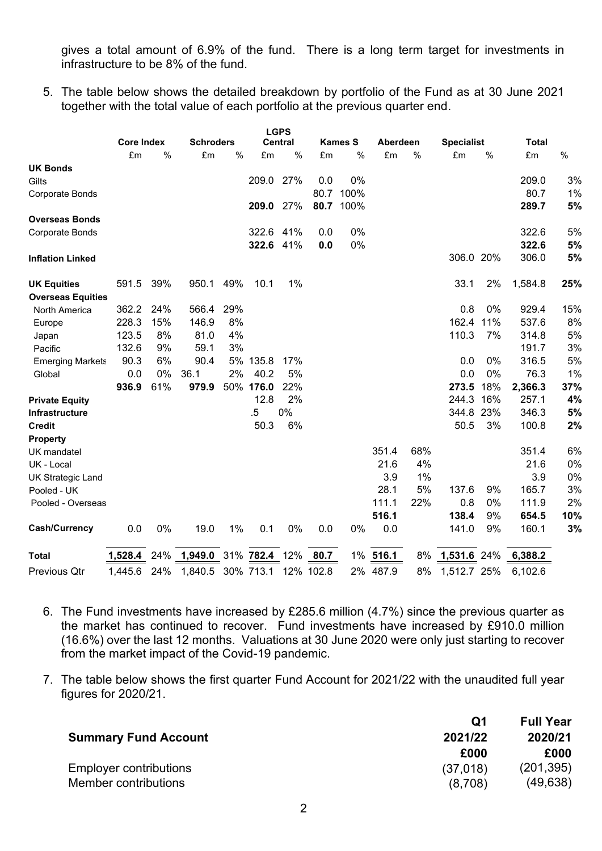gives a total amount of 6.9% of the fund. There is a long term target for investments in infrastructure to be 8% of the fund.

5. The table below shows the detailed breakdown by portfolio of the Fund as at 30 June 2021 together with the total value of each portfolio at the previous quarter end.

|                          |                   |     |                  |      |           | <b>LGPS</b>    |           |                |          |      |                   |     |              |     |
|--------------------------|-------------------|-----|------------------|------|-----------|----------------|-----------|----------------|----------|------|-------------------|-----|--------------|-----|
|                          | <b>Core Index</b> |     | <b>Schroders</b> |      |           | <b>Central</b> |           | <b>Kames S</b> | Aberdeen |      | <b>Specialist</b> |     | <b>Total</b> |     |
|                          | £m                | %   | £m               | $\%$ | £m        | %              | £m        | $\%$           | £m       | $\%$ | £m                | %   | £m           | %   |
| <b>UK Bonds</b>          |                   |     |                  |      |           |                |           |                |          |      |                   |     |              |     |
| Gilts                    |                   |     |                  |      | 209.0     | 27%            | 0.0       | 0%             |          |      |                   |     | 209.0        | 3%  |
| Corporate Bonds          |                   |     |                  |      |           |                | 80.7      | 100%           |          |      |                   |     | 80.7         | 1%  |
|                          |                   |     |                  |      | 209.0     | 27%            | 80.7      | 100%           |          |      |                   |     | 289.7        | 5%  |
| <b>Overseas Bonds</b>    |                   |     |                  |      |           |                |           |                |          |      |                   |     |              |     |
| Corporate Bonds          |                   |     |                  |      | 322.6     | 41%            | 0.0       | 0%             |          |      |                   |     | 322.6        | 5%  |
|                          |                   |     |                  |      | 322.6     | 41%            | 0.0       | 0%             |          |      |                   |     | 322.6        | 5%  |
| <b>Inflation Linked</b>  |                   |     |                  |      |           |                |           |                |          |      | 306.0 20%         |     | 306.0        | 5%  |
| <b>UK Equities</b>       | 591.5             | 39% | 950.1            | 49%  | 10.1      | 1%             |           |                |          |      | 33.1              | 2%  | 1,584.8      | 25% |
| <b>Overseas Equities</b> |                   |     |                  |      |           |                |           |                |          |      |                   |     |              |     |
| <b>North America</b>     | 362.2             | 24% | 566.4            | 29%  |           |                |           |                |          |      | 0.8               | 0%  | 929.4        | 15% |
| Europe                   | 228.3             | 15% | 146.9            | 8%   |           |                |           |                |          |      | 162.4             | 11% | 537.6        | 8%  |
| Japan                    | 123.5             | 8%  | 81.0             | 4%   |           |                |           |                |          |      | 110.3             | 7%  | 314.8        | 5%  |
| Pacific                  | 132.6             | 9%  | 59.1             | 3%   |           |                |           |                |          |      |                   |     | 191.7        | 3%  |
| <b>Emerging Markets</b>  | 90.3              | 6%  | 90.4             |      | 5% 135.8  | 17%            |           |                |          |      | 0.0               | 0%  | 316.5        | 5%  |
| Global                   | 0.0               | 0%  | 36.1             | 2%   | 40.2      | 5%             |           |                |          |      | 0.0               | 0%  | 76.3         | 1%  |
|                          | 936.9             | 61% | 979.9            | 50%  | 176.0     | 22%            |           |                |          |      | 273.5             | 18% | 2,366.3      | 37% |
| <b>Private Equity</b>    |                   |     |                  |      | 12.8      | 2%             |           |                |          |      | 244.3             | 16% | 257.1        | 4%  |
| <b>Infrastructure</b>    |                   |     |                  |      | $.5\,$    | 0%             |           |                |          |      | 344.8             | 23% | 346.3        | 5%  |
| <b>Credit</b>            |                   |     |                  |      | 50.3      | 6%             |           |                |          |      | 50.5              | 3%  | 100.8        | 2%  |
| <b>Property</b>          |                   |     |                  |      |           |                |           |                |          |      |                   |     |              |     |
| UK mandatel              |                   |     |                  |      |           |                |           |                | 351.4    | 68%  |                   |     | 351.4        | 6%  |
| UK - Local               |                   |     |                  |      |           |                |           |                | 21.6     | 4%   |                   |     | 21.6         | 0%  |
| <b>UK Strategic Land</b> |                   |     |                  |      |           |                |           |                | 3.9      | 1%   |                   |     | 3.9          | 0%  |
| Pooled - UK              |                   |     |                  |      |           |                |           |                | 28.1     | 5%   | 137.6             | 9%  | 165.7        | 3%  |
| Pooled - Overseas        |                   |     |                  |      |           |                |           |                | 111.1    | 22%  | 0.8               | 0%  | 111.9        | 2%  |
|                          |                   |     |                  |      |           |                |           |                | 516.1    |      | 138.4             | 9%  | 654.5        | 10% |
| <b>Cash/Currency</b>     | 0.0               | 0%  | 19.0             | 1%   | 0.1       | 0%             | 0.0       | 0%             | 0.0      |      | 141.0             | 9%  | 160.1        | 3%  |
| <b>Total</b>             | 1,528.4           | 24% | 1,949.0          |      | 31% 782.4 | 12%            | 80.7      | 1%             | 516.1    | 8%   | 1,531.6           | 24% | 6,388.2      |     |
| Previous Qtr             | 1,445.6           | 24% | 1,840.5          |      | 30% 713.1 |                | 12% 102.8 | 2%             | 487.9    | 8%   | 1,512.7 25%       |     | 6,102.6      |     |

- 6. The Fund investments have increased by £285.6 million (4.7%) since the previous quarter as the market has continued to recover. Fund investments have increased by £910.0 million (16.6%) over the last 12 months. Valuations at 30 June 2020 were only just starting to recover from the market impact of the Covid-19 pandemic.
- 7. The table below shows the first quarter Fund Account for 2021/22 with the unaudited full year figures for 2020/21.

|                               | Q1       | <b>Full Year</b> |
|-------------------------------|----------|------------------|
| <b>Summary Fund Account</b>   | 2021/22  | 2020/21          |
|                               | £000     | £000             |
| <b>Employer contributions</b> | (37,018) | (201, 395)       |
| Member contributions          | (8,708)  | (49, 638)        |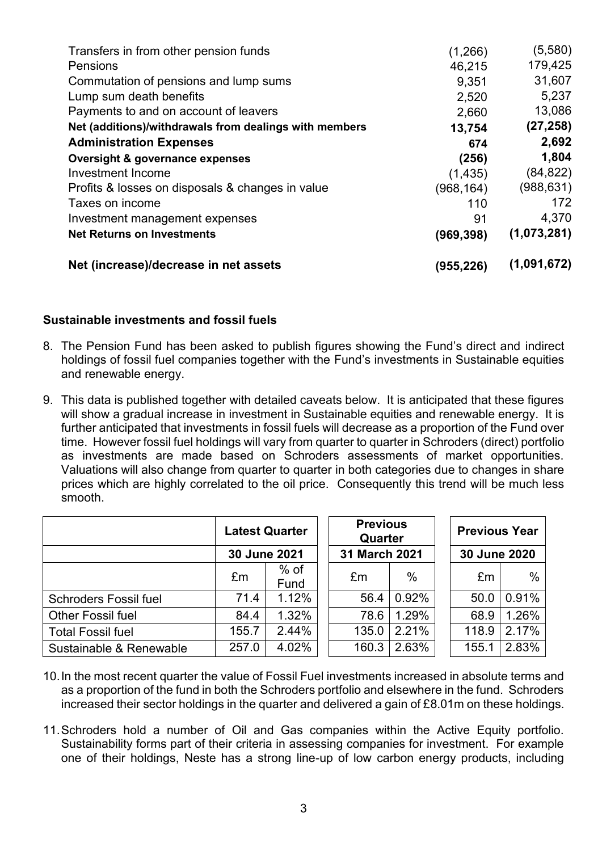| Transfers in from other pension funds                  | (1,266)    | (5,580)     |
|--------------------------------------------------------|------------|-------------|
| Pensions                                               | 46,215     | 179,425     |
| Commutation of pensions and lump sums                  | 9,351      | 31,607      |
| Lump sum death benefits                                | 2,520      | 5,237       |
| Payments to and on account of leavers                  | 2,660      | 13,086      |
| Net (additions)/withdrawals from dealings with members | 13,754     | (27, 258)   |
| <b>Administration Expenses</b>                         | 674        | 2,692       |
| <b>Oversight &amp; governance expenses</b>             | (256)      | 1,804       |
| Investment Income                                      | (1, 435)   | (84, 822)   |
| Profits & losses on disposals & changes in value       | (968, 164) | (988, 631)  |
| Taxes on income                                        | 110        | 172         |
| Investment management expenses                         | 91         | 4,370       |
| <b>Net Returns on Investments</b>                      | (969, 398) | (1,073,281) |
| Net (increase)/decrease in net assets                  | (955,226)  | (1,091,672) |

#### **Sustainable investments and fossil fuels**

- 8. The Pension Fund has been asked to publish figures showing the Fund's direct and indirect holdings of fossil fuel companies together with the Fund's investments in Sustainable equities and renewable energy.
- 9. This data is published together with detailed caveats below. It is anticipated that these figures will show a gradual increase in investment in Sustainable equities and renewable energy. It is further anticipated that investments in fossil fuels will decrease as a proportion of the Fund over time. However fossil fuel holdings will vary from quarter to quarter in Schroders (direct) portfolio as investments are made based on Schroders assessments of market opportunities. Valuations will also change from quarter to quarter in both categories due to changes in share prices which are highly correlated to the oil price. Consequently this trend will be much less smooth.

|                              | <b>Latest Quarter</b> |                | <b>Previous</b><br>Quarter |       | <b>Previous Year</b> |       |              |  |
|------------------------------|-----------------------|----------------|----------------------------|-------|----------------------|-------|--------------|--|
|                              | 30 June 2021          |                |                            |       | 31 March 2021        |       | 30 June 2020 |  |
|                              | £m                    | $%$ of<br>Fund | £m                         | $\%$  | £m                   | $\%$  |              |  |
| <b>Schroders Fossil fuel</b> | 71.4                  | 1.12%          | 56.4                       | 0.92% | 50.0                 | 0.91% |              |  |
| <b>Other Fossil fuel</b>     | 84.4                  | 1.32%          | 78.6                       | 1.29% | 68.9                 | 1.26% |              |  |
| <b>Total Fossil fuel</b>     | 155.7                 | 2.44%          | 135.0                      | 2.21% | 118.9                | 2.17% |              |  |
| Sustainable & Renewable      | 257.0                 | 4.02%          | 160.3                      | 2.63% | 155.1                | 2.83% |              |  |

- 10.In the most recent quarter the value of Fossil Fuel investments increased in absolute terms and as a proportion of the fund in both the Schroders portfolio and elsewhere in the fund. Schroders increased their sector holdings in the quarter and delivered a gain of £8.01m on these holdings.
- 11.Schroders hold a number of Oil and Gas companies within the Active Equity portfolio. Sustainability forms part of their criteria in assessing companies for investment. For example one of their holdings, Neste has a strong line-up of low carbon energy products, including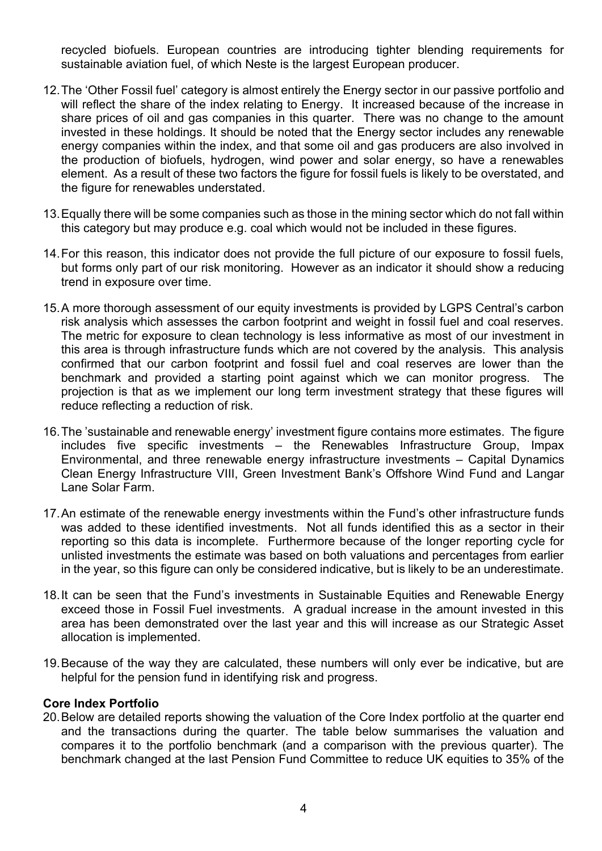recycled biofuels. European countries are introducing tighter blending requirements for sustainable aviation fuel, of which Neste is the largest European producer.

- 12.The 'Other Fossil fuel' category is almost entirely the Energy sector in our passive portfolio and will reflect the share of the index relating to Energy. It increased because of the increase in share prices of oil and gas companies in this quarter. There was no change to the amount invested in these holdings. It should be noted that the Energy sector includes any renewable energy companies within the index, and that some oil and gas producers are also involved in the production of biofuels, hydrogen, wind power and solar energy, so have a renewables element. As a result of these two factors the figure for fossil fuels is likely to be overstated, and the figure for renewables understated.
- 13.Equally there will be some companies such as those in the mining sector which do not fall within this category but may produce e.g. coal which would not be included in these figures.
- 14.For this reason, this indicator does not provide the full picture of our exposure to fossil fuels, but forms only part of our risk monitoring. However as an indicator it should show a reducing trend in exposure over time.
- 15.A more thorough assessment of our equity investments is provided by LGPS Central's carbon risk analysis which assesses the carbon footprint and weight in fossil fuel and coal reserves. The metric for exposure to clean technology is less informative as most of our investment in this area is through infrastructure funds which are not covered by the analysis. This analysis confirmed that our carbon footprint and fossil fuel and coal reserves are lower than the benchmark and provided a starting point against which we can monitor progress. The projection is that as we implement our long term investment strategy that these figures will reduce reflecting a reduction of risk.
- 16.The 'sustainable and renewable energy' investment figure contains more estimates. The figure includes five specific investments – the Renewables Infrastructure Group, Impax Environmental, and three renewable energy infrastructure investments – Capital Dynamics Clean Energy Infrastructure VIII, Green Investment Bank's Offshore Wind Fund and Langar Lane Solar Farm.
- 17.An estimate of the renewable energy investments within the Fund's other infrastructure funds was added to these identified investments. Not all funds identified this as a sector in their reporting so this data is incomplete. Furthermore because of the longer reporting cycle for unlisted investments the estimate was based on both valuations and percentages from earlier in the year, so this figure can only be considered indicative, but is likely to be an underestimate.
- 18.It can be seen that the Fund's investments in Sustainable Equities and Renewable Energy exceed those in Fossil Fuel investments. A gradual increase in the amount invested in this area has been demonstrated over the last year and this will increase as our Strategic Asset allocation is implemented.
- 19.Because of the way they are calculated, these numbers will only ever be indicative, but are helpful for the pension fund in identifying risk and progress.

#### **Core Index Portfolio**

20.Below are detailed reports showing the valuation of the Core Index portfolio at the quarter end and the transactions during the quarter. The table below summarises the valuation and compares it to the portfolio benchmark (and a comparison with the previous quarter). The benchmark changed at the last Pension Fund Committee to reduce UK equities to 35% of the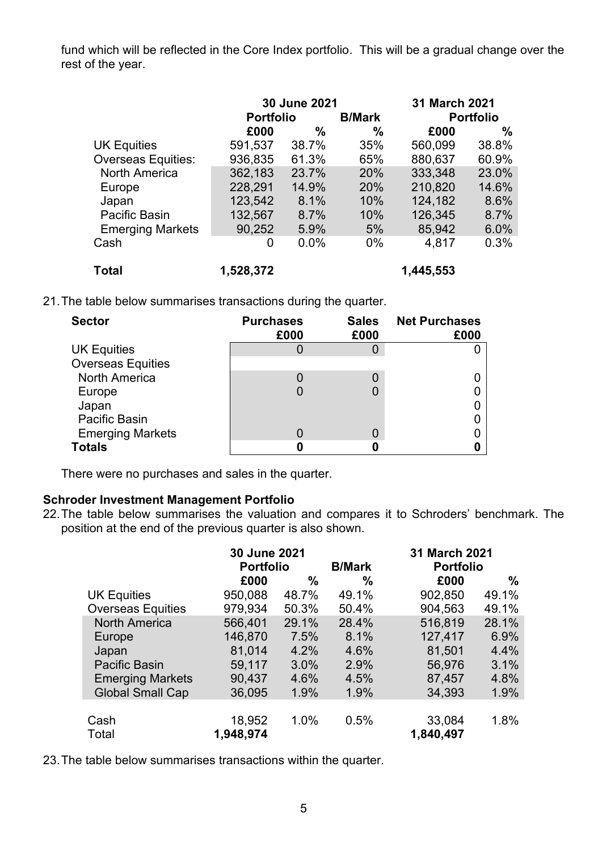fund which will be reflected in the Core Index portfolio. This will be a gradual change over the rest of the year.

|                           |                  | 30 June 2021 | 31 March 2021 |                  |       |
|---------------------------|------------------|--------------|---------------|------------------|-------|
|                           | <b>Portfolio</b> |              | <b>B/Mark</b> | <b>Portfolio</b> |       |
|                           | £000             | %            | $\%$          | £000             | $\%$  |
| <b>UK Equities</b>        | 591,537          | 38.7%        | 35%           | 560,099          | 38.8% |
| <b>Overseas Equities:</b> | 936,835          | 61.3%        | 65%           | 880,637          | 60.9% |
| <b>North America</b>      | 362,183          | 23.7%        | 20%           | 333,348          | 23.0% |
| Europe                    | 228,291          | 14.9%        | 20%           | 210,820          | 14.6% |
| Japan                     | 123,542          | 8.1%         | 10%           | 124,182          | 8.6%  |
| Pacific Basin             | 132,567          | 8.7%         | 10%           | 126,345          | 8.7%  |
| <b>Emerging Markets</b>   | 90,252           | 5.9%         | 5%            | 85,942           | 6.0%  |
| Cash                      | 0                | 0.0%         | $0\%$         | 4,817            | 0.3%  |
| <b>Total</b>              | 1,528,372        |              |               | 1,445,553        |       |

21.The table below summarises transactions during the quarter.

| <b>Sector</b>            | <b>Purchases</b><br>£000 | <b>Sales</b><br>£000 | <b>Net Purchases</b><br>£000 |
|--------------------------|--------------------------|----------------------|------------------------------|
| <b>UK Equities</b>       |                          |                      |                              |
| <b>Overseas Equities</b> |                          |                      |                              |
| <b>North America</b>     |                          |                      |                              |
| Europe                   |                          |                      |                              |
| Japan                    |                          |                      |                              |
| <b>Pacific Basin</b>     |                          |                      |                              |
| <b>Emerging Markets</b>  |                          |                      |                              |
| <b>Totals</b>            |                          |                      |                              |

There were no purchases and sales in the quarter.

#### **Schroder Investment Management Portfolio**

22.The table below summarises the valuation and compares it to Schroders' benchmark. The position at the end of the previous quarter is also shown.

|                          | 30 June 2021<br><b>Portfolio</b> |       | <b>B/Mark</b> | 31 March 2021<br><b>Portfolio</b> |       |  |
|--------------------------|----------------------------------|-------|---------------|-----------------------------------|-------|--|
|                          | £000                             | %     | ℅             | £000                              | %     |  |
| <b>UK Equities</b>       | 950,088                          | 48.7% | 49.1%         | 902,850                           | 49.1% |  |
| <b>Overseas Equities</b> | 979.934                          | 50.3% | 50.4%         | 904,563                           | 49.1% |  |
| <b>North America</b>     | 566,401                          | 29.1% | 28.4%         | 516,819                           | 28.1% |  |
| Europe                   | 146,870                          | 7.5%  | 8.1%          | 127,417                           | 6.9%  |  |
| Japan                    | 81,014                           | 4.2%  | 4.6%          | 81,501                            | 4.4%  |  |
| <b>Pacific Basin</b>     | 59,117                           | 3.0%  | 2.9%          | 56,976                            | 3.1%  |  |
| <b>Emerging Markets</b>  | 90,437                           | 4.6%  | 4.5%          | 87,457                            | 4.8%  |  |
| <b>Global Small Cap</b>  | 36,095                           | 1.9%  | 1.9%          | 34,393                            | 1.9%  |  |
|                          |                                  |       |               |                                   |       |  |
| Cash                     | 18,952                           | 1.0%  | 0.5%          | 33,084                            | 1.8%  |  |
| Total                    | 1,948,974                        |       |               | 1,840,497                         |       |  |

23.The table below summarises transactions within the quarter.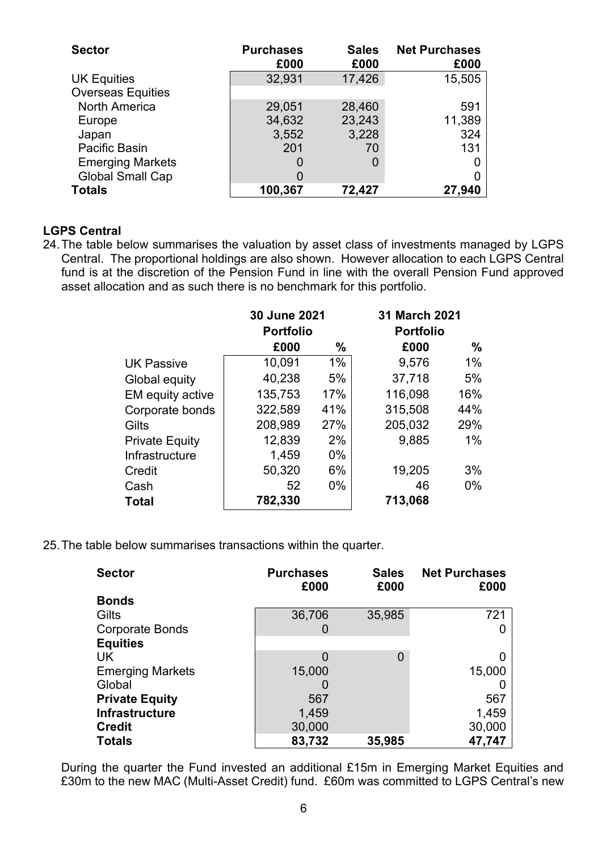| <b>Sector</b>            | <b>Purchases</b><br>£000 | <b>Sales</b><br>£000 | <b>Net Purchases</b><br>£000 |
|--------------------------|--------------------------|----------------------|------------------------------|
| <b>UK Equities</b>       | 32,931                   | 17,426               | 15,505                       |
| <b>Overseas Equities</b> |                          |                      |                              |
| <b>North America</b>     | 29,051                   | 28,460               | 591                          |
| Europe                   | 34,632                   | 23,243               | 11,389                       |
| Japan                    | 3,552                    | 3,228                | 324                          |
| Pacific Basin            | 201                      | 70                   | 131                          |
| <b>Emerging Markets</b>  |                          | 0                    | 0                            |
| <b>Global Small Cap</b>  |                          |                      | 0                            |
| <b>Totals</b>            | 100,367                  | 72,427               | 27,940                       |

#### **LGPS Central**

24.The table below summarises the valuation by asset class of investments managed by LGPS Central. The proportional holdings are also shown. However allocation to each LGPS Central fund is at the discretion of the Pension Fund in line with the overall Pension Fund approved asset allocation and as such there is no benchmark for this portfolio.

|                       | 30 June 2021     |       | 31 March 2021    |               |  |
|-----------------------|------------------|-------|------------------|---------------|--|
|                       | <b>Portfolio</b> |       | <b>Portfolio</b> |               |  |
|                       | £000             | %     | £000             | $\frac{0}{0}$ |  |
| <b>UK Passive</b>     | 10,091           | $1\%$ | 9,576            | 1%            |  |
| Global equity         | 40,238           | 5%    | 37,718           | 5%            |  |
| EM equity active      | 135,753          | 17%   | 116,098          | 16%           |  |
| Corporate bonds       | 322,589          | 41%   | 315,508          | 44%           |  |
| Gilts                 | 208,989          | 27%   | 205,032          | 29%           |  |
| <b>Private Equity</b> | 12,839           | 2%    | 9,885            | $1\%$         |  |
| Infrastructure        | 1,459            | $0\%$ |                  |               |  |
| Credit                | 50,320           | 6%    | 19,205           | 3%            |  |
| Cash                  | 52               | $0\%$ | 46               | $0\%$         |  |
| <b>Total</b>          | 782,330          |       | 713,068          |               |  |

25.The table below summarises transactions within the quarter.

| <b>Sector</b>           | <b>Purchases</b><br>£000 | <b>Sales</b><br>£000 | <b>Net Purchases</b><br>£000 |
|-------------------------|--------------------------|----------------------|------------------------------|
| <b>Bonds</b>            |                          |                      |                              |
| Gilts                   | 36,706                   | 35,985               | 721                          |
| <b>Corporate Bonds</b>  | O                        |                      |                              |
| <b>Equities</b>         |                          |                      |                              |
| UK                      | 0                        | 0                    |                              |
| <b>Emerging Markets</b> | 15,000                   |                      | 15,000                       |
| Global                  |                          |                      |                              |
| <b>Private Equity</b>   | 567                      |                      | 567                          |
| <b>Infrastructure</b>   | 1,459                    |                      | 1,459                        |
| <b>Credit</b>           | 30,000                   |                      | 30,000                       |
| <b>Totals</b>           | 83,732                   | 35,985               | 47,747                       |

During the quarter the Fund invested an additional £15m in Emerging Market Equities and £30m to the new MAC (Multi-Asset Credit) fund. £60m was committed to LGPS Central's new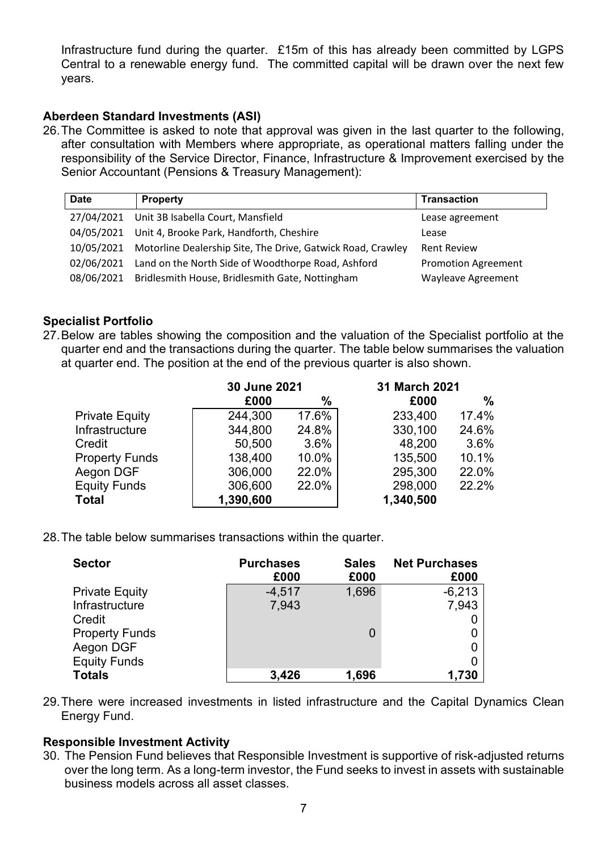Infrastructure fund during the quarter. £15m of this has already been committed by LGPS Central to a renewable energy fund. The committed capital will be drawn over the next few years.

#### **Aberdeen Standard Investments (ASI)**

26.The Committee is asked to note that approval was given in the last quarter to the following, after consultation with Members where appropriate, as operational matters falling under the responsibility of the Service Director, Finance, Infrastructure & Improvement exercised by the Senior Accountant (Pensions & Treasury Management):

| <b>Date</b> | <b>Property</b>                                                        | <b>Transaction</b>         |
|-------------|------------------------------------------------------------------------|----------------------------|
|             | 27/04/2021 Unit 3B Isabella Court, Mansfield                           | Lease agreement            |
|             | 04/05/2021 Unit 4, Brooke Park, Handforth, Cheshire                    | Lease                      |
|             | 10/05/2021 Motorline Dealership Site, The Drive, Gatwick Road, Crawley | <b>Rent Review</b>         |
| 02/06/2021  | Land on the North Side of Woodthorpe Road, Ashford                     | <b>Promotion Agreement</b> |
| 08/06/2021  | Bridlesmith House, Bridlesmith Gate, Nottingham                        | Wayleave Agreement         |

#### **Specialist Portfolio**

27.Below are tables showing the composition and the valuation of the Specialist portfolio at the quarter end and the transactions during the quarter. The table below summarises the valuation at quarter end. The position at the end of the previous quarter is also shown.

|                       | 30 June 2021 |       | 31 March 2021 |       |
|-----------------------|--------------|-------|---------------|-------|
|                       | £000         | %     | £000          | $\%$  |
| <b>Private Equity</b> | 244,300      | 17.6% | 233,400       | 17.4% |
| Infrastructure        | 344,800      | 24.8% | 330,100       | 24.6% |
| Credit                | 50,500       | 3.6%  | 48,200        | 3.6%  |
| <b>Property Funds</b> | 138,400      | 10.0% | 135,500       | 10.1% |
| Aegon DGF             | 306,000      | 22.0% | 295,300       | 22.0% |
| <b>Equity Funds</b>   | 306,600      | 22.0% | 298,000       | 22.2% |
| <b>Total</b>          | 1,390,600    |       | 1,340,500     |       |

28.The table below summarises transactions within the quarter.

| <b>Sector</b>         | <b>Purchases</b><br>£000 | <b>Sales</b><br>£000 | <b>Net Purchases</b><br>£000 |
|-----------------------|--------------------------|----------------------|------------------------------|
| <b>Private Equity</b> | $-4,517$                 | 1,696                | $-6,213$                     |
| Infrastructure        | 7,943                    |                      | 7,943                        |
| Credit                |                          |                      |                              |
| <b>Property Funds</b> |                          | 0                    |                              |
| Aegon DGF             |                          |                      |                              |
| <b>Equity Funds</b>   |                          |                      |                              |
| <b>Totals</b>         | 3,426                    | 1,696                | 1,730                        |

29.There were increased investments in listed infrastructure and the Capital Dynamics Clean Energy Fund.

#### **Responsible Investment Activity**

30. The Pension Fund believes that Responsible Investment is supportive of risk-adjusted returns over the long term. As a long-term investor, the Fund seeks to invest in assets with sustainable business models across all asset classes.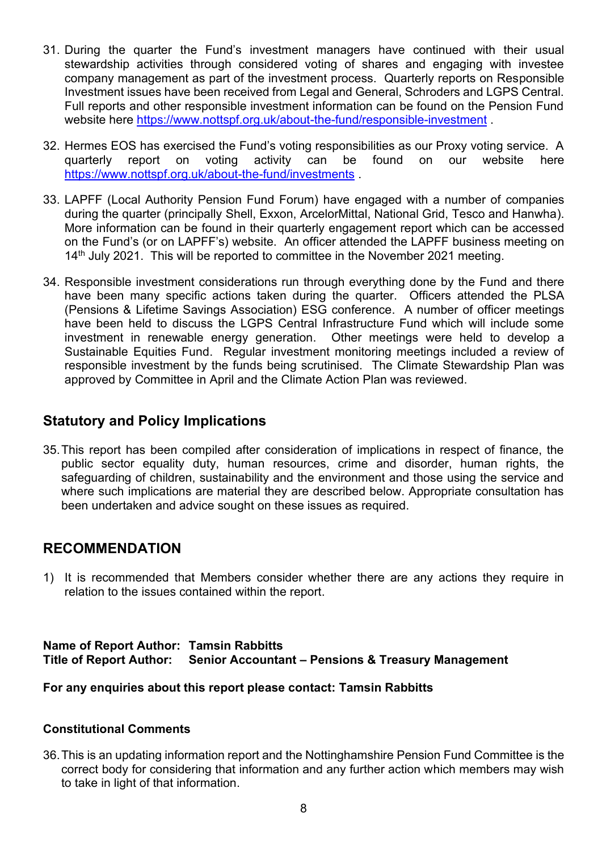- 31. During the quarter the Fund's investment managers have continued with their usual stewardship activities through considered voting of shares and engaging with investee company management as part of the investment process. Quarterly reports on Responsible Investment issues have been received from Legal and General, Schroders and LGPS Central. Full reports and other responsible investment information can be found on the Pension Fund website here<https://www.nottspf.org.uk/about-the-fund/responsible-investment>
- 32. Hermes EOS has exercised the Fund's voting responsibilities as our Proxy voting service. A quarterly report on voting activity can be found on our website here <https://www.nottspf.org.uk/about-the-fund/investments> .
- 33. LAPFF (Local Authority Pension Fund Forum) have engaged with a number of companies during the quarter (principally Shell, Exxon, ArcelorMittal, National Grid, Tesco and Hanwha). More information can be found in their quarterly engagement report which can be accessed on the Fund's (or on LAPFF's) website. An officer attended the LAPFF business meeting on 14<sup>th</sup> July 2021. This will be reported to committee in the November 2021 meeting.
- 34. Responsible investment considerations run through everything done by the Fund and there have been many specific actions taken during the quarter. Officers attended the PLSA (Pensions & Lifetime Savings Association) ESG conference. A number of officer meetings have been held to discuss the LGPS Central Infrastructure Fund which will include some investment in renewable energy generation. Other meetings were held to develop a Sustainable Equities Fund. Regular investment monitoring meetings included a review of responsible investment by the funds being scrutinised. The Climate Stewardship Plan was approved by Committee in April and the Climate Action Plan was reviewed.

# **Statutory and Policy Implications**

35.This report has been compiled after consideration of implications in respect of finance, the public sector equality duty, human resources, crime and disorder, human rights, the safeguarding of children, sustainability and the environment and those using the service and where such implications are material they are described below. Appropriate consultation has been undertaken and advice sought on these issues as required.

### **RECOMMENDATION**

1) It is recommended that Members consider whether there are any actions they require in relation to the issues contained within the report.

#### **Name of Report Author: Tamsin Rabbitts Title of Report Author: Senior Accountant – Pensions & Treasury Management**

#### **For any enquiries about this report please contact: Tamsin Rabbitts**

#### **Constitutional Comments**

36.This is an updating information report and the Nottinghamshire Pension Fund Committee is the correct body for considering that information and any further action which members may wish to take in light of that information.